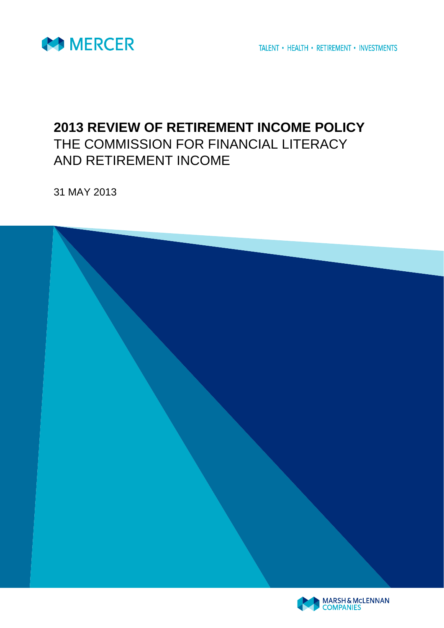

## **2013 REVIEW OF RETIREMENT INCOME POLICY** THE COMMISSION FOR FINANCIAL LITERACY AND RETIREMENT INCOME

31 MAY 2013



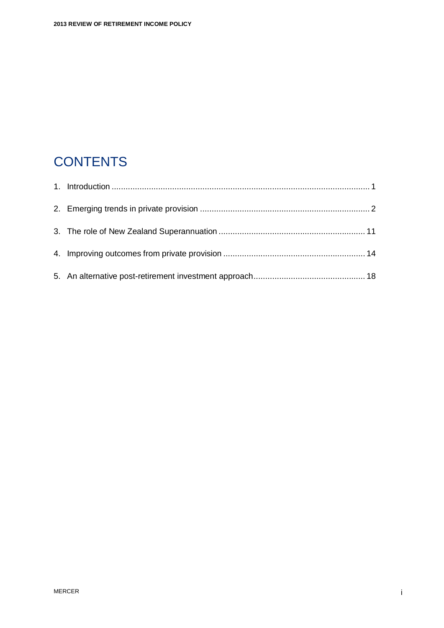## **CONTENTS**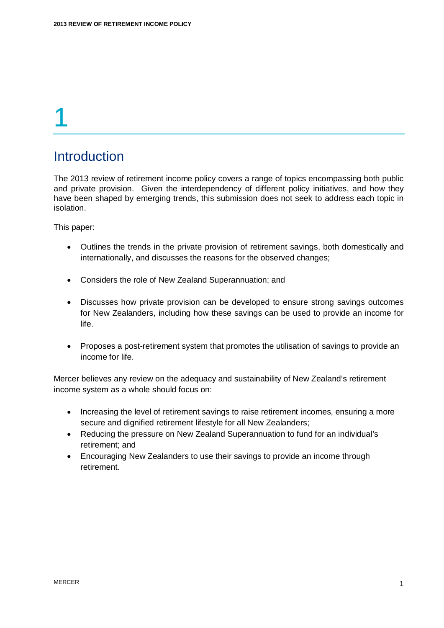### <span id="page-2-0"></span>**Introduction**

The 2013 review of retirement income policy covers a range of topics encompassing both public and private provision. Given the interdependency of different policy initiatives, and how they have been shaped by emerging trends, this submission does not seek to address each topic in isolation.

This paper:

- Outlines the trends in the private provision of retirement savings, both domestically and internationally, and discusses the reasons for the observed changes;
- Considers the role of New Zealand Superannuation; and
- Discusses how private provision can be developed to ensure strong savings outcomes for New Zealanders, including how these savings can be used to provide an income for life.
- Proposes a post-retirement system that promotes the utilisation of savings to provide an income for life.

Mercer believes any review on the adequacy and sustainability of New Zealand's retirement income system as a whole should focus on:

- Increasing the level of retirement savings to raise retirement incomes, ensuring a more secure and dignified retirement lifestyle for all New Zealanders;
- Reducing the pressure on New Zealand Superannuation to fund for an individual's retirement; and
- Encouraging New Zealanders to use their savings to provide an income through retirement.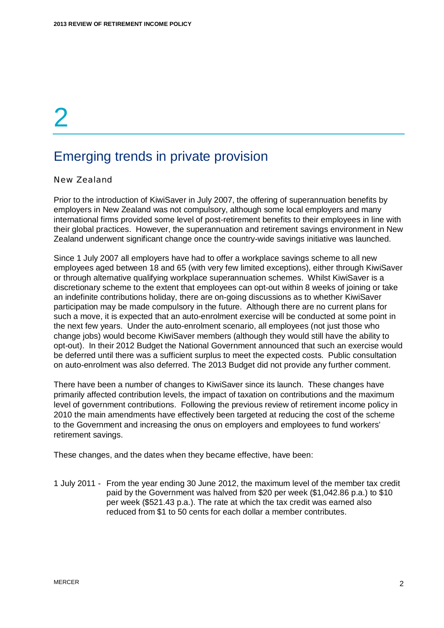### <span id="page-3-0"></span>Emerging trends in private provision

#### New Zealand

Prior to the introduction of KiwiSaver in July 2007, the offering of superannuation benefits by employers in New Zealand was not compulsory, although some local employers and many international firms provided some level of post-retirement benefits to their employees in line with their global practices. However, the superannuation and retirement savings environment in New Zealand underwent significant change once the country-wide savings initiative was launched.

Since 1 July 2007 all employers have had to offer a workplace savings scheme to all new employees aged between 18 and 65 (with very few limited exceptions), either through KiwiSaver or through alternative qualifying workplace superannuation schemes. Whilst KiwiSaver is a discretionary scheme to the extent that employees can opt-out within 8 weeks of joining or take an indefinite contributions holiday, there are on-going discussions as to whether KiwiSaver participation may be made compulsory in the future. Although there are no current plans for such a move, it is expected that an auto-enrolment exercise will be conducted at some point in the next few years. Under the auto-enrolment scenario, all employees (not just those who change jobs) would become KiwiSaver members (although they would still have the ability to opt-out). In their 2012 Budget the National Government announced that such an exercise would be deferred until there was a sufficient surplus to meet the expected costs. Public consultation on auto-enrolment was also deferred. The 2013 Budget did not provide any further comment.

There have been a number of changes to KiwiSaver since its launch. These changes have primarily affected contribution levels, the impact of taxation on contributions and the maximum level of government contributions. Following the previous review of retirement income policy in 2010 the main amendments have effectively been targeted at reducing the cost of the scheme to the Government and increasing the onus on employers and employees to fund workers' retirement savings.

These changes, and the dates when they became effective, have been:

1 July 2011 - From the year ending 30 June 2012, the maximum level of the member tax credit paid by the Government was halved from \$20 per week (\$1,042.86 p.a.) to \$10 per week (\$521.43 p.a.). The rate at which the tax credit was earned also reduced from \$1 to 50 cents for each dollar a member contributes.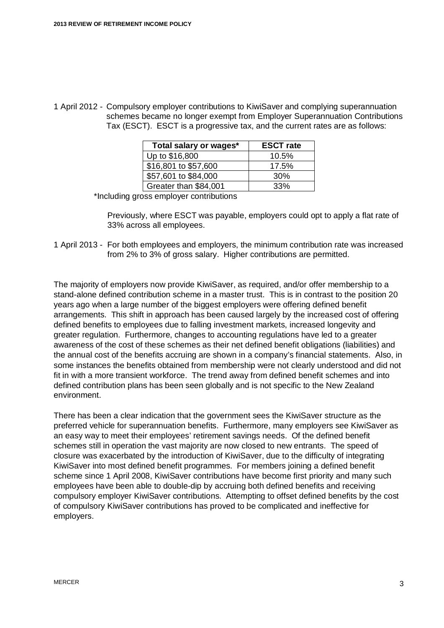1 April 2012 - Compulsory employer contributions to KiwiSaver and complying superannuation schemes became no longer exempt from Employer Superannuation Contributions Tax (ESCT). ESCT is a progressive tax, and the current rates are as follows:

| Total salary or wages* | <b>ESCT</b> rate |  |  |  |
|------------------------|------------------|--|--|--|
| Up to \$16,800         | 10.5%            |  |  |  |
| \$16,801 to \$57,600   | 17.5%            |  |  |  |
| \$57,601 to \$84,000   | 30%              |  |  |  |
| Greater than \$84,001  | 33%              |  |  |  |

\*Including gross employer contributions

Previously, where ESCT was payable, employers could opt to apply a flat rate of 33% across all employees.

1 April 2013 - For both employees and employers, the minimum contribution rate was increased from 2% to 3% of gross salary. Higher contributions are permitted.

The majority of employers now provide KiwiSaver, as required, and/or offer membership to a stand-alone defined contribution scheme in a master trust. This is in contrast to the position 20 years ago when a large number of the biggest employers were offering defined benefit arrangements. This shift in approach has been caused largely by the increased cost of offering defined benefits to employees due to falling investment markets, increased longevity and greater regulation. Furthermore, changes to accounting regulations have led to a greater awareness of the cost of these schemes as their net defined benefit obligations (liabilities) and the annual cost of the benefits accruing are shown in a company's financial statements. Also, in some instances the benefits obtained from membership were not clearly understood and did not fit in with a more transient workforce. The trend away from defined benefit schemes and into defined contribution plans has been seen globally and is not specific to the New Zealand environment.

There has been a clear indication that the government sees the KiwiSaver structure as the preferred vehicle for superannuation benefits. Furthermore, many employers see KiwiSaver as an easy way to meet their employees' retirement savings needs. Of the defined benefit schemes still in operation the vast majority are now closed to new entrants. The speed of closure was exacerbated by the introduction of KiwiSaver, due to the difficulty of integrating KiwiSaver into most defined benefit programmes. For members joining a defined benefit scheme since 1 April 2008, KiwiSaver contributions have become first priority and many such employees have been able to double-dip by accruing both defined benefits and receiving compulsory employer KiwiSaver contributions. Attempting to offset defined benefits by the cost of compulsory KiwiSaver contributions has proved to be complicated and ineffective for employers.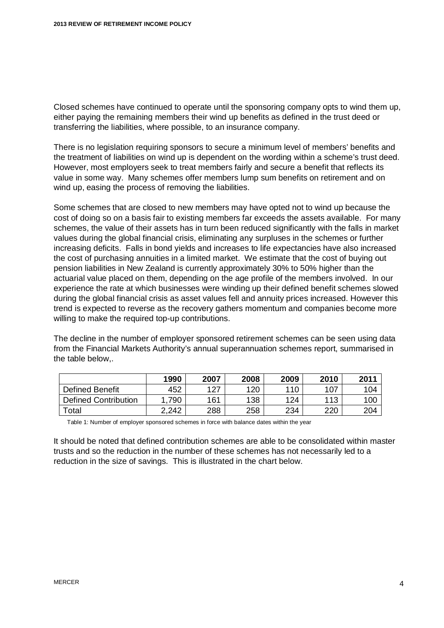Closed schemes have continued to operate until the sponsoring company opts to wind them up, either paying the remaining members their wind up benefits as defined in the trust deed or transferring the liabilities, where possible, to an insurance company.

There is no legislation requiring sponsors to secure a minimum level of members' benefits and the treatment of liabilities on wind up is dependent on the wording within a scheme's trust deed. However, most employers seek to treat members fairly and secure a benefit that reflects its value in some way. Many schemes offer members lump sum benefits on retirement and on wind up, easing the process of removing the liabilities.

Some schemes that are closed to new members may have opted not to wind up because the cost of doing so on a basis fair to existing members far exceeds the assets available. For many schemes, the value of their assets has in turn been reduced significantly with the falls in market values during the global financial crisis, eliminating any surpluses in the schemes or further increasing deficits. Falls in bond yields and increases to life expectancies have also increased the cost of purchasing annuities in a limited market. We estimate that the cost of buying out pension liabilities in New Zealand is currently approximately 30% to 50% higher than the actuarial value placed on them, depending on the age profile of the members involved. In our experience the rate at which businesses were winding up their defined benefit schemes slowed during the global financial crisis as asset values fell and annuity prices increased. However this trend is expected to reverse as the recovery gathers momentum and companies become more willing to make the required top-up contributions.

The decline in the number of employer sponsored retirement schemes can be seen using data from the Financial Markets Authority's annual superannuation schemes report, summarised in the table below,.

|                             | 1990  | 2007 | 2008 | 2009 | 2010 | 2011 |
|-----------------------------|-------|------|------|------|------|------|
| Defined Benefit             | 452   | 127  | 120  | 110  | 107  | 104  |
| <b>Defined Contribution</b> | 790   | 161  | 138  | 124  | 113  | 100  |
| $\tau$ otal                 | 2,242 | 288  | 258  | 234  | 220  | 204  |

Table 1: Number of employer sponsored schemes in force with balance dates within the year

It should be noted that defined contribution schemes are able to be consolidated within master trusts and so the reduction in the number of these schemes has not necessarily led to a reduction in the size of savings. This is illustrated in the chart below.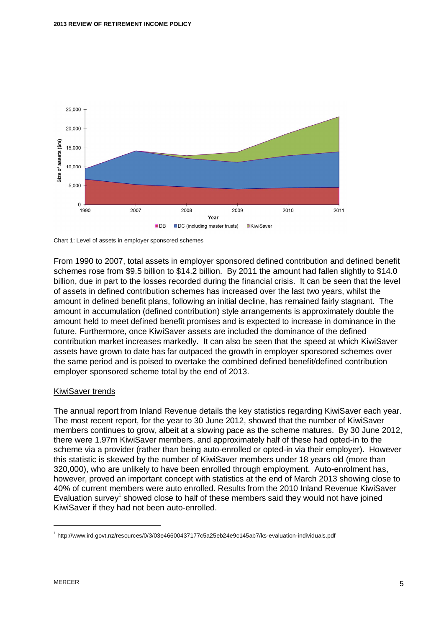

Chart 1: Level of assets in employer sponsored schemes

From 1990 to 2007, total assets in employer sponsored defined contribution and defined benefit schemes rose from \$9.5 billion to \$14.2 billion. By 2011 the amount had fallen slightly to \$14.0 billion, due in part to the losses recorded during the financial crisis. It can be seen that the level of assets in defined contribution schemes has increased over the last two years, whilst the amount in defined benefit plans, following an initial decline, has remained fairly stagnant. The amount in accumulation (defined contribution) style arrangements is approximately double the amount held to meet defined benefit promises and is expected to increase in dominance in the future. Furthermore, once KiwiSaver assets are included the dominance of the defined contribution market increases markedly. It can also be seen that the speed at which KiwiSaver assets have grown to date has far outpaced the growth in employer sponsored schemes over the same period and is poised to overtake the combined defined benefit/defined contribution employer sponsored scheme total by the end of 2013.

#### KiwiSaver trends

The annual report from Inland Revenue details the key statistics regarding KiwiSaver each year. The most recent report, for the year to 30 June 2012, showed that the number of KiwiSaver members continues to grow, albeit at a slowing pace as the scheme matures. By 30 June 2012, there were 1.97m KiwiSaver members, and approximately half of these had opted-in to the scheme via a provider (rather than being auto-enrolled or opted-in via their employer). However this statistic is skewed by the number of KiwiSaver members under 18 years old (more than 320,000), who are unlikely to have been enrolled through employment. Auto-enrolment has, however, proved an important concept with statistics at the end of March 2013 showing close to 40% of current members were auto enrolled. Results from the 2010 Inland Revenue KiwiSaver Evaluation survey<sup>[1](#page-6-0)</sup> showed close to half of these members said they would not have joined KiwiSaver if they had not been auto-enrolled.

<span id="page-6-0"></span><sup>1</sup> http://www.ird.govt.nz/resources/0/3/03e46600437177c5a25eb24e9c145ab7/ks-evaluation-individuals.pdf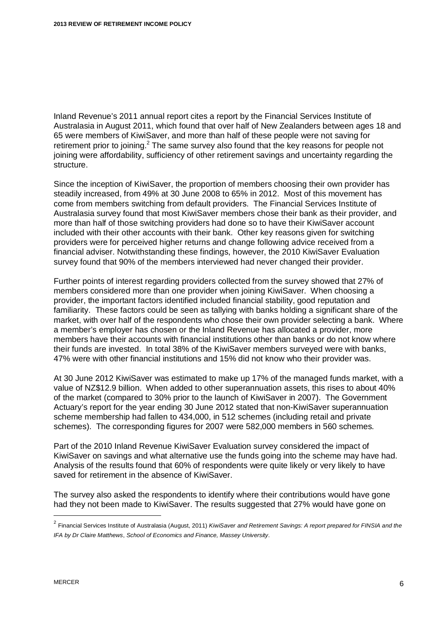Inland Revenue's 2011 annual report cites a report by the Financial Services Institute of Australasia in August 2011, which found that over half of New Zealanders between ages 18 and 65 were members of KiwiSaver, and more than half of these people were not saving for retirement prior to joining.<sup>[2](#page-7-0)</sup> The same survey also found that the key reasons for people not joining were affordability, sufficiency of other retirement savings and uncertainty regarding the structure.

Since the inception of KiwiSaver, the proportion of members choosing their own provider has steadily increased, from 49% at 30 June 2008 to 65% in 2012. Most of this movement has come from members switching from default providers. The Financial Services Institute of Australasia survey found that most KiwiSaver members chose their bank as their provider, and more than half of those switching providers had done so to have their KiwiSaver account included with their other accounts with their bank. Other key reasons given for switching providers were for perceived higher returns and change following advice received from a financial adviser. Notwithstanding these findings, however, the 2010 KiwiSaver Evaluation survey found that 90% of the members interviewed had never changed their provider.

Further points of interest regarding providers collected from the survey showed that 27% of members considered more than one provider when joining KiwiSaver. When choosing a provider, the important factors identified included financial stability, good reputation and familiarity. These factors could be seen as tallying with banks holding a significant share of the market, with over half of the respondents who chose their own provider selecting a bank. Where a member's employer has chosen or the Inland Revenue has allocated a provider, more members have their accounts with financial institutions other than banks or do not know where their funds are invested. In total 38% of the KiwiSaver members surveyed were with banks, 47% were with other financial institutions and 15% did not know who their provider was.

At 30 June 2012 KiwiSaver was estimated to make up 17% of the managed funds market, with a value of NZ\$12.9 billion. When added to other superannuation assets, this rises to about 40% of the market (compared to 30% prior to the launch of KiwiSaver in 2007). The Government Actuary's report for the year ending 30 June 2012 stated that non-KiwiSaver superannuation scheme membership had fallen to 434,000, in 512 schemes (including retail and private schemes). The corresponding figures for 2007 were 582,000 members in 560 schemes.

Part of the 2010 Inland Revenue KiwiSaver Evaluation survey considered the impact of KiwiSaver on savings and what alternative use the funds going into the scheme may have had. Analysis of the results found that 60% of respondents were quite likely or very likely to have saved for retirement in the absence of KiwiSaver.

The survey also asked the respondents to identify where their contributions would have gone had they not been made to KiwiSaver. The results suggested that 27% would have gone on

<span id="page-7-0"></span><sup>2</sup> Financial Services Institute of Australasia (August, 2011) *KiwiSaver and Retirement Savings: A report prepared for FINSIA and the IFA by Dr Claire Matthews*, *School of Economics and Finance, Massey University*.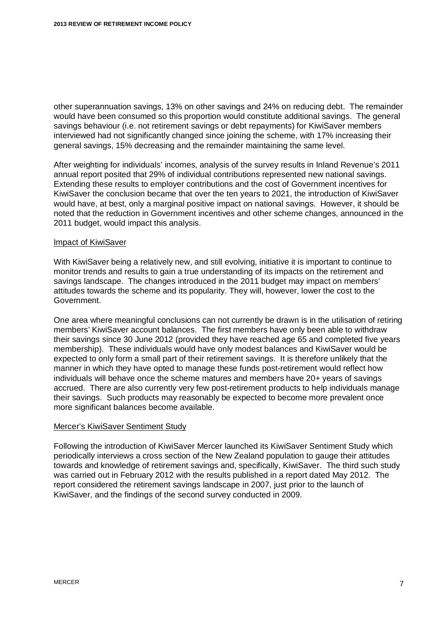other superannuation savings, 13% on other savings and 24% on reducing debt. The remainder would have been consumed so this proportion would constitute additional savings. The general savings behaviour (i.e. not retirement savings or debt repayments) for KiwiSaver members interviewed had not significantly changed since joining the scheme, with 17% increasing their general savings, 15% decreasing and the remainder maintaining the same level.

After weighting for individuals' incomes, analysis of the survey results in Inland Revenue's 2011 annual report posited that 29% of individual contributions represented new national savings. Extending these results to employer contributions and the cost of Government incentives for KiwiSaver the conclusion became that over the ten years to 2021, the introduction of KiwiSaver would have, at best, only a marginal positive impact on national savings. However, it should be noted that the reduction in Government incentives and other scheme changes, announced in the 2011 budget, would impact this analysis.

#### Impact of KiwiSaver

With KiwiSaver being a relatively new, and still evolving, initiative it is important to continue to monitor trends and results to gain a true understanding of its impacts on the retirement and savings landscape. The changes introduced in the 2011 budget may impact on members' attitudes towards the scheme and its popularity. They will, however, lower the cost to the Government.

One area where meaningful conclusions can not currently be drawn is in the utilisation of retiring members' KiwiSaver account balances. The first members have only been able to withdraw their savings since 30 June 2012 (provided they have reached age 65 and completed five years membership). These individuals would have only modest balances and KiwiSaver would be expected to only form a small part of their retirement savings. It is therefore unlikely that the manner in which they have opted to manage these funds post-retirement would reflect how individuals will behave once the scheme matures and members have 20+ years of savings accrued. There are also currently very few post-retirement products to help individuals manage their savings. Such products may reasonably be expected to become more prevalent once more significant balances become available.

#### Mercer's KiwiSaver Sentiment Study

Following the introduction of KiwiSaver Mercer launched its KiwiSaver Sentiment Study which periodically interviews a cross section of the New Zealand population to gauge their attitudes towards and knowledge of retirement savings and, specifically, KiwiSaver. The third such study was carried out in February 2012 with the results published in a report dated May 2012. The report considered the retirement savings landscape in 2007, just prior to the launch of KiwiSaver, and the findings of the second survey conducted in 2009.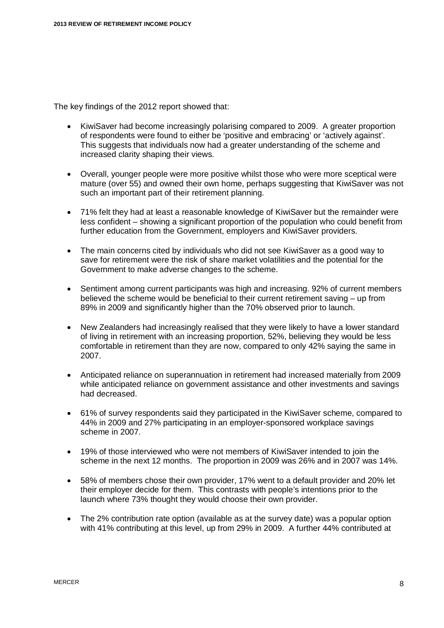The key findings of the 2012 report showed that:

- KiwiSaver had become increasingly polarising compared to 2009. A greater proportion of respondents were found to either be 'positive and embracing' or 'actively against'. This suggests that individuals now had a greater understanding of the scheme and increased clarity shaping their views.
- Overall, younger people were more positive whilst those who were more sceptical were mature (over 55) and owned their own home, perhaps suggesting that KiwiSaver was not such an important part of their retirement planning.
- 71% felt they had at least a reasonable knowledge of KiwiSaver but the remainder were less confident – showing a significant proportion of the population who could benefit from further education from the Government, employers and KiwiSaver providers.
- The main concerns cited by individuals who did not see KiwiSaver as a good way to save for retirement were the risk of share market volatilities and the potential for the Government to make adverse changes to the scheme.
- Sentiment among current participants was high and increasing. 92% of current members believed the scheme would be beneficial to their current retirement saving – up from 89% in 2009 and significantly higher than the 70% observed prior to launch.
- New Zealanders had increasingly realised that they were likely to have a lower standard of living in retirement with an increasing proportion, 52%, believing they would be less comfortable in retirement than they are now, compared to only 42% saying the same in 2007.
- x Anticipated reliance on superannuation in retirement had increased materially from 2009 while anticipated reliance on government assistance and other investments and savings had decreased.
- 61% of survey respondents said they participated in the KiwiSaver scheme, compared to 44% in 2009 and 27% participating in an employer-sponsored workplace savings scheme in 2007.
- 19% of those interviewed who were not members of KiwiSaver intended to join the scheme in the next 12 months. The proportion in 2009 was 26% and in 2007 was 14%.
- 58% of members chose their own provider, 17% went to a default provider and 20% let their employer decide for them. This contrasts with people's intentions prior to the launch where 73% thought they would choose their own provider.
- $\bullet$  The 2% contribution rate option (available as at the survey date) was a popular option with 41% contributing at this level, up from 29% in 2009. A further 44% contributed at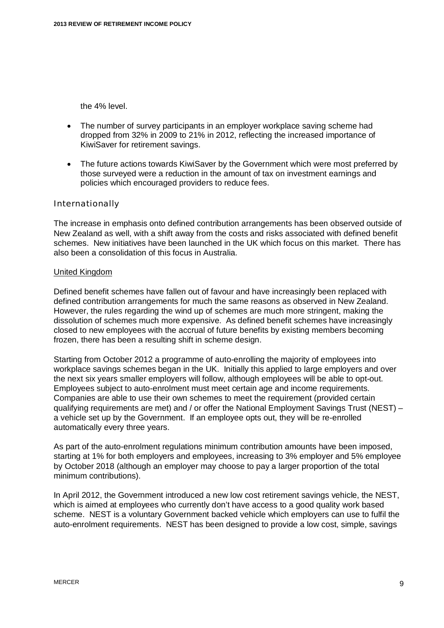the 4% level.

- The number of survey participants in an employer workplace saving scheme had dropped from 32% in 2009 to 21% in 2012, reflecting the increased importance of KiwiSaver for retirement savings.
- The future actions towards KiwiSaver by the Government which were most preferred by those surveyed were a reduction in the amount of tax on investment earnings and policies which encouraged providers to reduce fees.

#### Internationally

The increase in emphasis onto defined contribution arrangements has been observed outside of New Zealand as well, with a shift away from the costs and risks associated with defined benefit schemes. New initiatives have been launched in the UK which focus on this market. There has also been a consolidation of this focus in Australia.

#### United Kingdom

Defined benefit schemes have fallen out of favour and have increasingly been replaced with defined contribution arrangements for much the same reasons as observed in New Zealand. However, the rules regarding the wind up of schemes are much more stringent, making the dissolution of schemes much more expensive. As defined benefit schemes have increasingly closed to new employees with the accrual of future benefits by existing members becoming frozen, there has been a resulting shift in scheme design.

Starting from October 2012 a programme of auto-enrolling the majority of employees into workplace savings schemes began in the UK. Initially this applied to large employers and over the next six years smaller employers will follow, although employees will be able to opt-out. Employees subject to auto-enrolment must meet certain age and income requirements. Companies are able to use their own schemes to meet the requirement (provided certain qualifying requirements are met) and / or offer the National Employment Savings Trust (NEST) – a vehicle set up by the Government. If an employee opts out, they will be re-enrolled automatically every three years.

As part of the auto-enrolment regulations minimum contribution amounts have been imposed, starting at 1% for both employers and employees, increasing to 3% employer and 5% employee by October 2018 (although an employer may choose to pay a larger proportion of the total minimum contributions).

In April 2012, the Government introduced a new low cost retirement savings vehicle, the NEST, which is aimed at employees who currently don't have access to a good quality work based scheme. NEST is a voluntary Government backed vehicle which employers can use to fulfil the auto-enrolment requirements. NEST has been designed to provide a low cost, simple, savings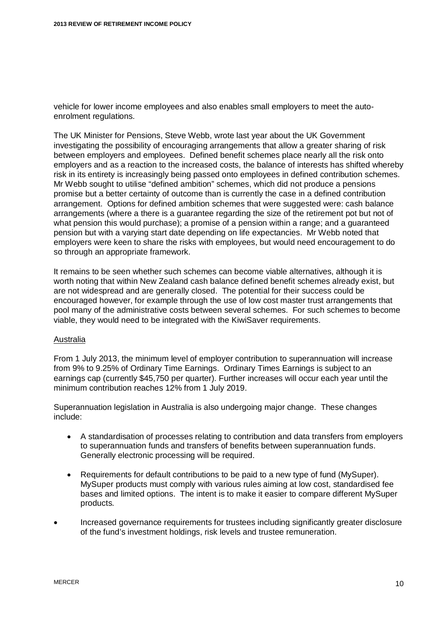vehicle for lower income employees and also enables small employers to meet the autoenrolment regulations.

The UK Minister for Pensions, Steve Webb, wrote last year about the UK Government investigating the possibility of encouraging arrangements that allow a greater sharing of risk between employers and employees. Defined benefit schemes place nearly all the risk onto employers and as a reaction to the increased costs, the balance of interests has shifted whereby risk in its entirety is increasingly being passed onto employees in defined contribution schemes. Mr Webb sought to utilise "defined ambition" schemes, which did not produce a pensions promise but a better certainty of outcome than is currently the case in a defined contribution arrangement. Options for defined ambition schemes that were suggested were: cash balance arrangements (where a there is a guarantee regarding the size of the retirement pot but not of what pension this would purchase); a promise of a pension within a range; and a guaranteed pension but with a varying start date depending on life expectancies. Mr Webb noted that employers were keen to share the risks with employees, but would need encouragement to do so through an appropriate framework.

It remains to be seen whether such schemes can become viable alternatives, although it is worth noting that within New Zealand cash balance defined benefit schemes already exist, but are not widespread and are generally closed. The potential for their success could be encouraged however, for example through the use of low cost master trust arrangements that pool many of the administrative costs between several schemes. For such schemes to become viable, they would need to be integrated with the KiwiSaver requirements.

#### Australia

From 1 July 2013, the minimum level of employer contribution to superannuation will increase from 9% to 9.25% of Ordinary Time Earnings. Ordinary Times Earnings is subject to an earnings cap (currently \$45,750 per quarter). Further increases will occur each year until the minimum contribution reaches 12% from 1 July 2019.

Superannuation legislation in Australia is also undergoing major change. These changes include:

- A standardisation of processes relating to contribution and data transfers from employers to superannuation funds and transfers of benefits between superannuation funds. Generally electronic processing will be required.
- Requirements for default contributions to be paid to a new type of fund (MySuper). MySuper products must comply with various rules aiming at low cost, standardised fee bases and limited options. The intent is to make it easier to compare different MySuper products.
- Increased governance requirements for trustees including significantly greater disclosure of the fund's investment holdings, risk levels and trustee remuneration.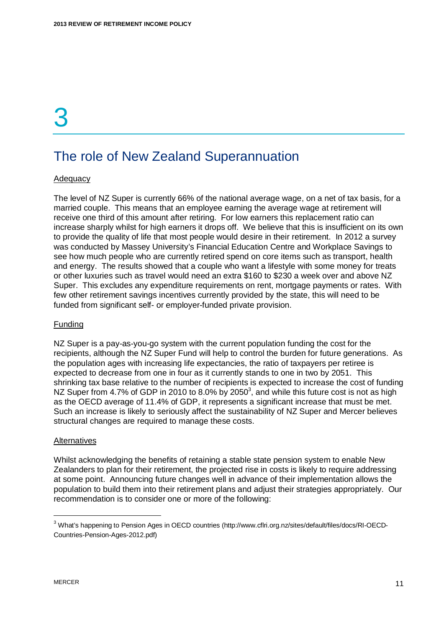## <span id="page-12-0"></span>The role of New Zealand Superannuation

#### Adequacy

The level of NZ Super is currently 66% of the national average wage, on a net of tax basis, for a married couple. This means that an employee earning the average wage at retirement will receive one third of this amount after retiring. For low earners this replacement ratio can increase sharply whilst for high earners it drops off. We believe that this is insufficient on its own to provide the quality of life that most people would desire in their retirement. In 2012 a survey was conducted by Massey University's Financial Education Centre and Workplace Savings to see how much people who are currently retired spend on core items such as transport, health and energy. The results showed that a couple who want a lifestyle with some money for treats or other luxuries such as travel would need an extra \$160 to \$230 a week over and above NZ Super. This excludes any expenditure requirements on rent, mortgage payments or rates. With few other retirement savings incentives currently provided by the state, this will need to be funded from significant self- or employer-funded private provision.

#### Funding

NZ Super is a pay-as-you-go system with the current population funding the cost for the recipients, although the NZ Super Fund will help to control the burden for future generations. As the population ages with increasing life expectancies, the ratio of taxpayers per retiree is expected to decrease from one in four as it currently stands to one in two by 2051. This shrinking tax base relative to the number of recipients is expected to increase the cost of funding NZ Super from 4.7% of GDP in 2010 to 8.0% by 2050<sup>[3](#page-12-1)</sup>, and while this future cost is not as high as the OECD average of 11.4% of GDP, it represents a significant increase that must be met. Such an increase is likely to seriously affect the sustainability of NZ Super and Mercer believes structural changes are required to manage these costs.

#### **Alternatives**

Whilst acknowledging the benefits of retaining a stable state pension system to enable New Zealanders to plan for their retirement, the projected rise in costs is likely to require addressing at some point. Announcing future changes well in advance of their implementation allows the population to build them into their retirement plans and adjust their strategies appropriately. Our recommendation is to consider one or more of the following:

<span id="page-12-1"></span><sup>&</sup>lt;sup>3</sup> What's happening to Pension Ages in OECD countries (http://www.cflri.org.nz/sites/default/files/docs/RI-OECD-Countries-Pension-Ages-2012.pdf)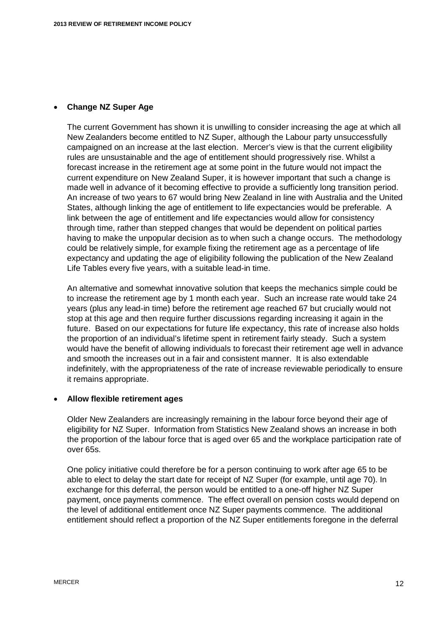#### **• Change NZ Super Age**

The current Government has shown it is unwilling to consider increasing the age at which all New Zealanders become entitled to NZ Super, although the Labour party unsuccessfully campaigned on an increase at the last election. Mercer's view is that the current eligibility rules are unsustainable and the age of entitlement should progressively rise. Whilst a forecast increase in the retirement age at some point in the future would not impact the current expenditure on New Zealand Super, it is however important that such a change is made well in advance of it becoming effective to provide a sufficiently long transition period. An increase of two years to 67 would bring New Zealand in line with Australia and the United States, although linking the age of entitlement to life expectancies would be preferable. A link between the age of entitlement and life expectancies would allow for consistency through time, rather than stepped changes that would be dependent on political parties having to make the unpopular decision as to when such a change occurs. The methodology could be relatively simple, for example fixing the retirement age as a percentage of life expectancy and updating the age of eligibility following the publication of the New Zealand Life Tables every five years, with a suitable lead-in time.

An alternative and somewhat innovative solution that keeps the mechanics simple could be to increase the retirement age by 1 month each year. Such an increase rate would take 24 years (plus any lead-in time) before the retirement age reached 67 but crucially would not stop at this age and then require further discussions regarding increasing it again in the future. Based on our expectations for future life expectancy, this rate of increase also holds the proportion of an individual's lifetime spent in retirement fairly steady. Such a system would have the benefit of allowing individuals to forecast their retirement age well in advance and smooth the increases out in a fair and consistent manner. It is also extendable indefinitely, with the appropriateness of the rate of increase reviewable periodically to ensure it remains appropriate.

#### x **Allow flexible retirement ages**

Older New Zealanders are increasingly remaining in the labour force beyond their age of eligibility for NZ Super. Information from Statistics New Zealand shows an increase in both the proportion of the labour force that is aged over 65 and the workplace participation rate of over 65s.

One policy initiative could therefore be for a person continuing to work after age 65 to be able to elect to delay the start date for receipt of NZ Super (for example, until age 70). In exchange for this deferral, the person would be entitled to a one-off higher NZ Super payment, once payments commence. The effect overall on pension costs would depend on the level of additional entitlement once NZ Super payments commence. The additional entitlement should reflect a proportion of the NZ Super entitlements foregone in the deferral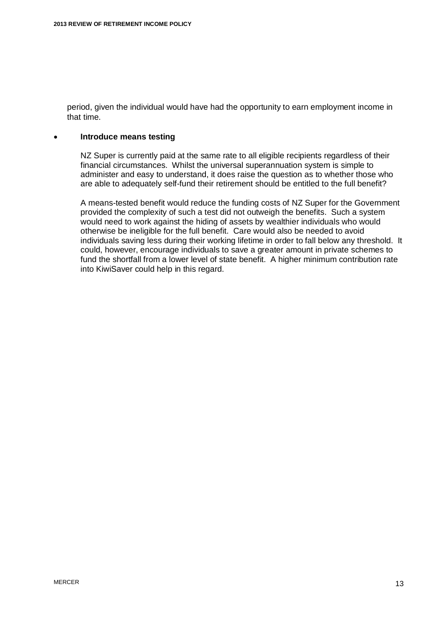period, given the individual would have had the opportunity to earn employment income in that time.

#### x **Introduce means testing**

NZ Super is currently paid at the same rate to all eligible recipients regardless of their financial circumstances. Whilst the universal superannuation system is simple to administer and easy to understand, it does raise the question as to whether those who are able to adequately self-fund their retirement should be entitled to the full benefit?

A means-tested benefit would reduce the funding costs of NZ Super for the Government provided the complexity of such a test did not outweigh the benefits. Such a system would need to work against the hiding of assets by wealthier individuals who would otherwise be ineligible for the full benefit. Care would also be needed to avoid individuals saving less during their working lifetime in order to fall below any threshold. It could, however, encourage individuals to save a greater amount in private schemes to fund the shortfall from a lower level of state benefit. A higher minimum contribution rate into KiwiSaver could help in this regard.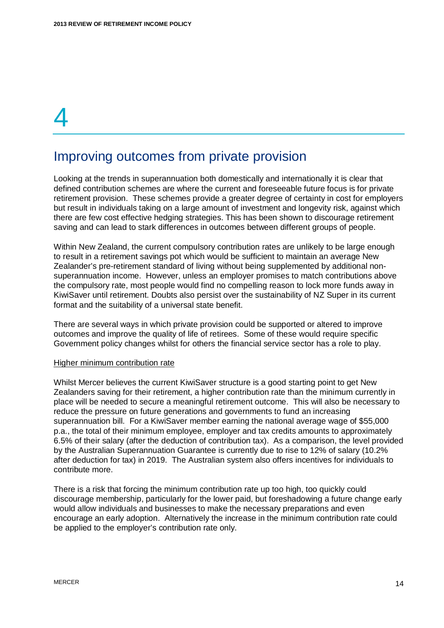### <span id="page-15-0"></span>Improving outcomes from private provision

Looking at the trends in superannuation both domestically and internationally it is clear that defined contribution schemes are where the current and foreseeable future focus is for private retirement provision. These schemes provide a greater degree of certainty in cost for employers but result in individuals taking on a large amount of investment and longevity risk, against which there are few cost effective hedging strategies. This has been shown to discourage retirement saving and can lead to stark differences in outcomes between different groups of people.

Within New Zealand, the current compulsory contribution rates are unlikely to be large enough to result in a retirement savings pot which would be sufficient to maintain an average New Zealander's pre-retirement standard of living without being supplemented by additional nonsuperannuation income. However, unless an employer promises to match contributions above the compulsory rate, most people would find no compelling reason to lock more funds away in KiwiSaver until retirement. Doubts also persist over the sustainability of NZ Super in its current format and the suitability of a universal state benefit.

There are several ways in which private provision could be supported or altered to improve outcomes and improve the quality of life of retirees. Some of these would require specific Government policy changes whilst for others the financial service sector has a role to play.

#### Higher minimum contribution rate

Whilst Mercer believes the current KiwiSaver structure is a good starting point to get New Zealanders saving for their retirement, a higher contribution rate than the minimum currently in place will be needed to secure a meaningful retirement outcome. This will also be necessary to reduce the pressure on future generations and governments to fund an increasing superannuation bill. For a KiwiSaver member earning the national average wage of \$55,000 p.a., the total of their minimum employee, employer and tax credits amounts to approximately 6.5% of their salary (after the deduction of contribution tax). As a comparison, the level provided by the Australian Superannuation Guarantee is currently due to rise to 12% of salary (10.2% after deduction for tax) in 2019. The Australian system also offers incentives for individuals to contribute more.

There is a risk that forcing the minimum contribution rate up too high, too quickly could discourage membership, particularly for the lower paid, but foreshadowing a future change early would allow individuals and businesses to make the necessary preparations and even encourage an early adoption. Alternatively the increase in the minimum contribution rate could be applied to the employer's contribution rate only.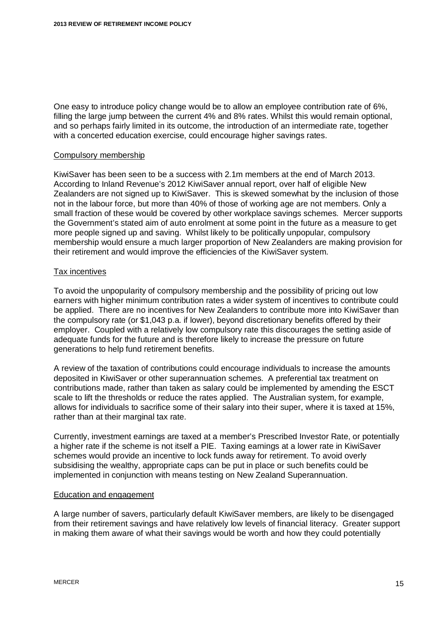One easy to introduce policy change would be to allow an employee contribution rate of 6%, filling the large jump between the current 4% and 8% rates. Whilst this would remain optional, and so perhaps fairly limited in its outcome, the introduction of an intermediate rate, together with a concerted education exercise, could encourage higher savings rates.

#### Compulsory membership

KiwiSaver has been seen to be a success with 2.1m members at the end of March 2013. According to Inland Revenue's 2012 KiwiSaver annual report, over half of eligible New Zealanders are not signed up to KiwiSaver. This is skewed somewhat by the inclusion of those not in the labour force, but more than 40% of those of working age are not members. Only a small fraction of these would be covered by other workplace savings schemes. Mercer supports the Government's stated aim of auto enrolment at some point in the future as a measure to get more people signed up and saving. Whilst likely to be politically unpopular, compulsory membership would ensure a much larger proportion of New Zealanders are making provision for their retirement and would improve the efficiencies of the KiwiSaver system.

#### Tax incentives

To avoid the unpopularity of compulsory membership and the possibility of pricing out low earners with higher minimum contribution rates a wider system of incentives to contribute could be applied. There are no incentives for New Zealanders to contribute more into KiwiSaver than the compulsory rate (or \$1,043 p.a. if lower), beyond discretionary benefits offered by their employer. Coupled with a relatively low compulsory rate this discourages the setting aside of adequate funds for the future and is therefore likely to increase the pressure on future generations to help fund retirement benefits.

A review of the taxation of contributions could encourage individuals to increase the amounts deposited in KiwiSaver or other superannuation schemes. A preferential tax treatment on contributions made, rather than taken as salary could be implemented by amending the ESCT scale to lift the thresholds or reduce the rates applied. The Australian system, for example, allows for individuals to sacrifice some of their salary into their super, where it is taxed at 15%, rather than at their marginal tax rate.

Currently, investment earnings are taxed at a member's Prescribed Investor Rate, or potentially a higher rate if the scheme is not itself a PIE. Taxing earnings at a lower rate in KiwiSaver schemes would provide an incentive to lock funds away for retirement. To avoid overly subsidising the wealthy, appropriate caps can be put in place or such benefits could be implemented in conjunction with means testing on New Zealand Superannuation.

#### Education and engagement

A large number of savers, particularly default KiwiSaver members, are likely to be disengaged from their retirement savings and have relatively low levels of financial literacy. Greater support in making them aware of what their savings would be worth and how they could potentially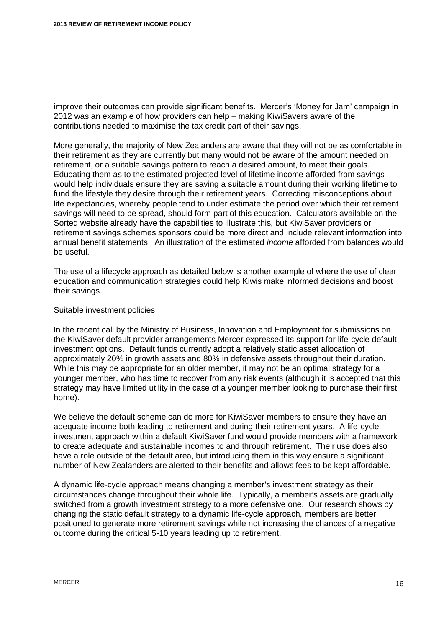improve their outcomes can provide significant benefits. Mercer's 'Money for Jam' campaign in 2012 was an example of how providers can help – making KiwiSavers aware of the contributions needed to maximise the tax credit part of their savings.

More generally, the majority of New Zealanders are aware that they will not be as comfortable in their retirement as they are currently but many would not be aware of the amount needed on retirement, or a suitable savings pattern to reach a desired amount, to meet their goals. Educating them as to the estimated projected level of lifetime income afforded from savings would help individuals ensure they are saving a suitable amount during their working lifetime to fund the lifestyle they desire through their retirement years. Correcting misconceptions about life expectancies, whereby people tend to under estimate the period over which their retirement savings will need to be spread, should form part of this education. Calculators available on the Sorted website already have the capabilities to illustrate this, but KiwiSaver providers or retirement savings schemes sponsors could be more direct and include relevant information into annual benefit statements. An illustration of the estimated *income* afforded from balances would be useful.

The use of a lifecycle approach as detailed below is another example of where the use of clear education and communication strategies could help Kiwis make informed decisions and boost their savings.

#### Suitable investment policies

In the recent call by the Ministry of Business, Innovation and Employment for submissions on the KiwiSaver default provider arrangements Mercer expressed its support for life-cycle default investment options. Default funds currently adopt a relatively static asset allocation of approximately 20% in growth assets and 80% in defensive assets throughout their duration. While this may be appropriate for an older member, it may not be an optimal strategy for a younger member, who has time to recover from any risk events (although it is accepted that this strategy may have limited utility in the case of a younger member looking to purchase their first home).

We believe the default scheme can do more for KiwiSaver members to ensure they have an adequate income both leading to retirement and during their retirement years. A life-cycle investment approach within a default KiwiSaver fund would provide members with a framework to create adequate and sustainable incomes to and through retirement. Their use does also have a role outside of the default area, but introducing them in this way ensure a significant number of New Zealanders are alerted to their benefits and allows fees to be kept affordable.

A dynamic life-cycle approach means changing a member's investment strategy as their circumstances change throughout their whole life. Typically, a member's assets are gradually switched from a growth investment strategy to a more defensive one. Our research shows by changing the static default strategy to a dynamic life-cycle approach, members are better positioned to generate more retirement savings while not increasing the chances of a negative outcome during the critical 5-10 years leading up to retirement.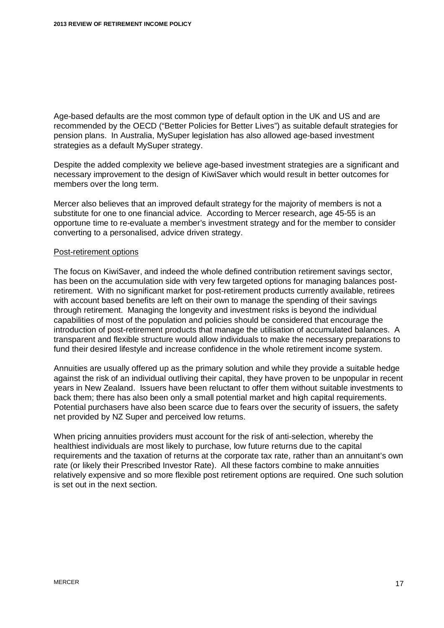Age-based defaults are the most common type of default option in the UK and US and are recommended by the OECD ("Better Policies for Better Lives") as suitable default strategies for pension plans. In Australia, MySuper legislation has also allowed age-based investment strategies as a default MySuper strategy.

Despite the added complexity we believe age-based investment strategies are a significant and necessary improvement to the design of KiwiSaver which would result in better outcomes for members over the long term.

Mercer also believes that an improved default strategy for the majority of members is not a substitute for one to one financial advice. According to Mercer research, age 45-55 is an opportune time to re-evaluate a member's investment strategy and for the member to consider converting to a personalised, advice driven strategy.

#### Post-retirement options

The focus on KiwiSaver, and indeed the whole defined contribution retirement savings sector, has been on the accumulation side with very few targeted options for managing balances postretirement. With no significant market for post-retirement products currently available, retirees with account based benefits are left on their own to manage the spending of their savings through retirement. Managing the longevity and investment risks is beyond the individual capabilities of most of the population and policies should be considered that encourage the introduction of post-retirement products that manage the utilisation of accumulated balances. A transparent and flexible structure would allow individuals to make the necessary preparations to fund their desired lifestyle and increase confidence in the whole retirement income system.

Annuities are usually offered up as the primary solution and while they provide a suitable hedge against the risk of an individual outliving their capital, they have proven to be unpopular in recent years in New Zealand. Issuers have been reluctant to offer them without suitable investments to back them; there has also been only a small potential market and high capital requirements. Potential purchasers have also been scarce due to fears over the security of issuers, the safety net provided by NZ Super and perceived low returns.

When pricing annuities providers must account for the risk of anti-selection, whereby the healthiest individuals are most likely to purchase, low future returns due to the capital requirements and the taxation of returns at the corporate tax rate, rather than an annuitant's own rate (or likely their Prescribed Investor Rate). All these factors combine to make annuities relatively expensive and so more flexible post retirement options are required. One such solution is set out in the next section.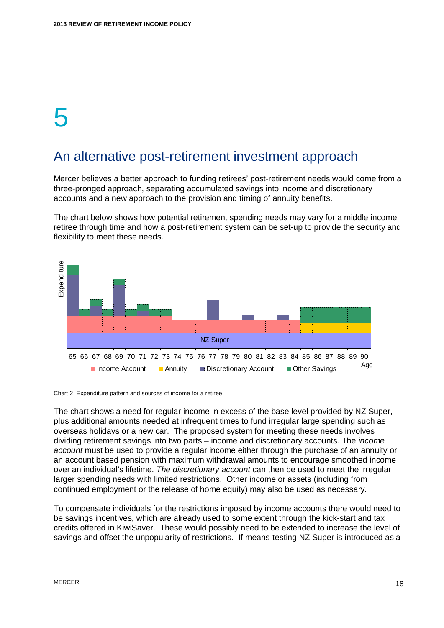### <span id="page-19-0"></span>An alternative post-retirement investment approach

Mercer believes a better approach to funding retirees' post-retirement needs would come from a three-pronged approach, separating accumulated savings into income and discretionary accounts and a new approach to the provision and timing of annuity benefits.

The chart below shows how potential retirement spending needs may vary for a middle income retiree through time and how a post-retirement system can be set-up to provide the security and flexibility to meet these needs.



Chart 2: Expenditure pattern and sources of income for a retiree

The chart shows a need for regular income in excess of the base level provided by NZ Super, plus additional amounts needed at infrequent times to fund irregular large spending such as overseas holidays or a new car. The proposed system for meeting these needs involves dividing retirement savings into two parts – income and discretionary accounts. The *income account* must be used to provide a regular income either through the purchase of an annuity or an account based pension with maximum withdrawal amounts to encourage smoothed income over an individual's lifetime. *The discretionary account* can then be used to meet the irregular larger spending needs with limited restrictions. Other income or assets (including from continued employment or the release of home equity) may also be used as necessary.

To compensate individuals for the restrictions imposed by income accounts there would need to be savings incentives, which are already used to some extent through the kick-start and tax credits offered in KiwiSaver. These would possibly need to be extended to increase the level of savings and offset the unpopularity of restrictions. If means-testing NZ Super is introduced as a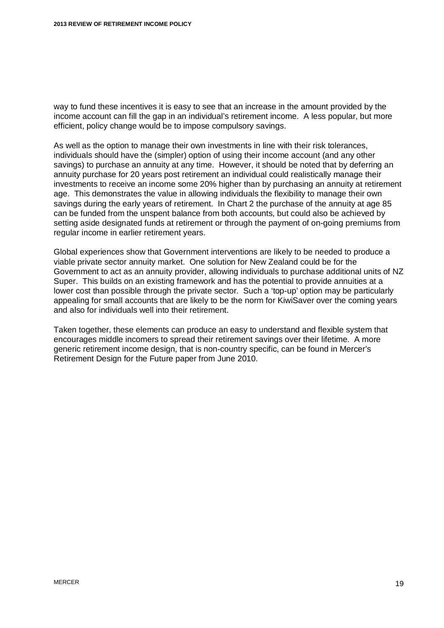way to fund these incentives it is easy to see that an increase in the amount provided by the income account can fill the gap in an individual's retirement income. A less popular, but more efficient, policy change would be to impose compulsory savings.

As well as the option to manage their own investments in line with their risk tolerances, individuals should have the (simpler) option of using their income account (and any other savings) to purchase an annuity at any time. However, it should be noted that by deferring an annuity purchase for 20 years post retirement an individual could realistically manage their investments to receive an income some 20% higher than by purchasing an annuity at retirement age. This demonstrates the value in allowing individuals the flexibility to manage their own savings during the early years of retirement. In Chart 2 the purchase of the annuity at age 85 can be funded from the unspent balance from both accounts, but could also be achieved by setting aside designated funds at retirement or through the payment of on-going premiums from regular income in earlier retirement years.

Global experiences show that Government interventions are likely to be needed to produce a viable private sector annuity market. One solution for New Zealand could be for the Government to act as an annuity provider, allowing individuals to purchase additional units of NZ Super. This builds on an existing framework and has the potential to provide annuities at a lower cost than possible through the private sector. Such a 'top-up' option may be particularly appealing for small accounts that are likely to be the norm for KiwiSaver over the coming years and also for individuals well into their retirement.

Taken together, these elements can produce an easy to understand and flexible system that encourages middle incomers to spread their retirement savings over their lifetime. A more generic retirement income design, that is non-country specific, can be found in Mercer's Retirement Design for the Future paper from June 2010.